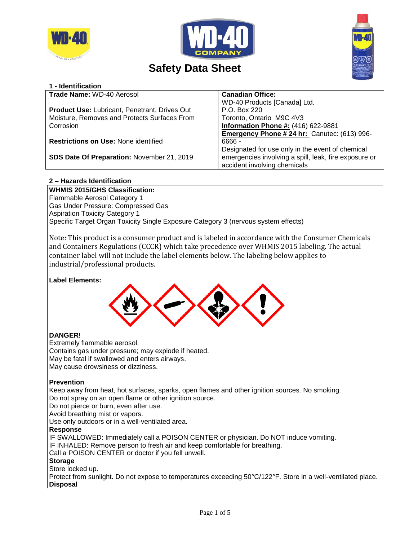





# **Safety Data Sheet**

| 1 - Identification |  |
|--------------------|--|
|--------------------|--|

| <b>Trade Name: WD-40 Aerosol</b>                     | <b>Canadian Office:</b>                               |
|------------------------------------------------------|-------------------------------------------------------|
|                                                      | WD-40 Products [Canada] Ltd.                          |
| <b>Product Use: Lubricant, Penetrant, Drives Out</b> | P.O. Box 220                                          |
| Moisture, Removes and Protects Surfaces From         | Toronto, Ontario M9C 4V3                              |
| Corrosion                                            | <b>Information Phone #: (416) 622-9881</b>            |
|                                                      | Emergency Phone # 24 hr: Canutec: (613) 996-          |
| <b>Restrictions on Use: None identified</b>          | $6666 -$                                              |
|                                                      | Designated for use only in the event of chemical      |
| SDS Date Of Preparation: November 21, 2019           | emergencies involving a spill, leak, fire exposure or |
|                                                      | accident involving chemicals                          |
|                                                      |                                                       |

# **2 – Hazards Identification**

**WHMIS 2015/GHS Classification:** Flammable Aerosol Category 1 Gas Under Pressure: Compressed Gas Aspiration Toxicity Category 1 Specific Target Organ Toxicity Single Exposure Category 3 (nervous system effects)

Note: This product is a consumer product and is labeled in accordance with the Consumer Chemicals and Containers Regulations (CCCR) which take precedence over WHMIS 2015 labeling. The actual container label will not include the label elements below. The labeling below applies to industrial/professional products.

# **Label Elements:**



# **DANGER**!

Extremely flammable aerosol. Contains gas under pressure; may explode if heated. May be fatal if swallowed and enters airways. May cause drowsiness or dizziness.

# **Prevention**

Keep away from heat, hot surfaces, sparks, open flames and other ignition sources. No smoking. Do not spray on an open flame or other ignition source.

Do not pierce or burn, even after use.

Avoid breathing mist or vapors.

Use only outdoors or in a well-ventilated area.

# **Response**

IF SWALLOWED: Immediately call a POISON CENTER or physician. Do NOT induce vomiting.

IF INHALED: Remove person to fresh air and keep comfortable for breathing.

Call a POISON CENTER or doctor if you fell unwell.

#### **Storage**

Store locked up.

Protect from sunlight. Do not expose to temperatures exceeding 50°C/122°F. Store in a well-ventilated place. **Disposal**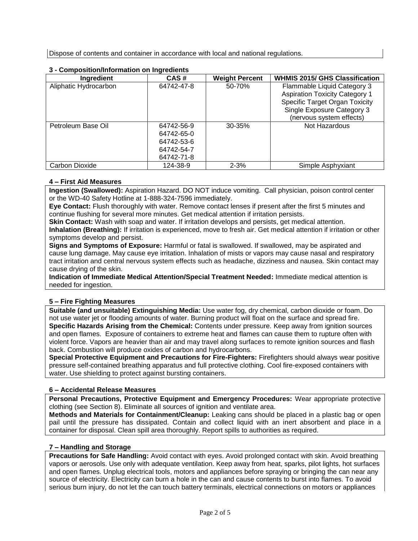Dispose of contents and container in accordance with local and national regulations.

| Ingredient            | CAS#       | <b>Weight Percent</b> | <b>WHMIS 2015/ GHS Classification</b> |  |
|-----------------------|------------|-----------------------|---------------------------------------|--|
| Aliphatic Hydrocarbon | 64742-47-8 | 50-70%                | Flammable Liquid Category 3           |  |
|                       |            |                       | <b>Aspiration Toxicity Category 1</b> |  |
|                       |            |                       | <b>Specific Target Organ Toxicity</b> |  |
|                       |            |                       | Single Exposure Category 3            |  |
|                       |            |                       | (nervous system effects)              |  |
| Petroleum Base Oil    | 64742-56-9 | $30 - 35%$            | Not Hazardous                         |  |
|                       | 64742-65-0 |                       |                                       |  |
|                       | 64742-53-6 |                       |                                       |  |
|                       | 64742-54-7 |                       |                                       |  |
|                       | 64742-71-8 |                       |                                       |  |
| Carbon Dioxide        | 124-38-9   | $2 - 3%$              | Simple Asphyxiant                     |  |

# **3 - Composition/Information on Ingredients**

# **4 – First Aid Measures**

**Ingestion (Swallowed):** Aspiration Hazard. DO NOT induce vomiting. Call physician, poison control center or the WD-40 Safety Hotline at 1-888-324-7596 immediately.

**Eye Contact:** Flush thoroughly with water. Remove contact lenses if present after the first 5 minutes and continue flushing for several more minutes. Get medical attention if irritation persists.

**Skin Contact:** Wash with soap and water. If irritation develops and persists, get medical attention. **Inhalation (Breathing):** If irritation is experienced, move to fresh air. Get medical attention if irritation or other symptoms develop and persist.

**Signs and Symptoms of Exposure:** Harmful or fatal is swallowed. If swallowed, may be aspirated and cause lung damage. May cause eye irritation. Inhalation of mists or vapors may cause nasal and respiratory tract irritation and central nervous system effects such as headache, dizziness and nausea. Skin contact may cause drying of the skin.

**Indication of Immediate Medical Attention/Special Treatment Needed:** Immediate medical attention is needed for ingestion.

# **5 – Fire Fighting Measures**

**Suitable (and unsuitable) Extinguishing Media:** Use water fog, dry chemical, carbon dioxide or foam. Do not use water jet or flooding amounts of water. Burning product will float on the surface and spread fire. **Specific Hazards Arising from the Chemical:** Contents under pressure. Keep away from ignition sources and open flames. Exposure of containers to extreme heat and flames can cause them to rupture often with violent force. Vapors are heavier than air and may travel along surfaces to remote ignition sources and flash back. Combustion will produce oxides of carbon and hydrocarbons.

**Special Protective Equipment and Precautions for Fire-Fighters:** Firefighters should always wear positive pressure self-contained breathing apparatus and full protective clothing. Cool fire-exposed containers with water. Use shielding to protect against bursting containers.

# **6 – Accidental Release Measures**

**Personal Precautions, Protective Equipment and Emergency Procedures:** Wear appropriate protective clothing (see Section 8). Eliminate all sources of ignition and ventilate area.

**Methods and Materials for Containment/Cleanup:** Leaking cans should be placed in a plastic bag or open pail until the pressure has dissipated. Contain and collect liquid with an inert absorbent and place in a container for disposal. Clean spill area thoroughly. Report spills to authorities as required.

# **7 – Handling and Storage**

**Precautions for Safe Handling:** Avoid contact with eyes. Avoid prolonged contact with skin. Avoid breathing vapors or aerosols. Use only with adequate ventilation. Keep away from heat, sparks, pilot lights, hot surfaces and open flames. Unplug electrical tools, motors and appliances before spraying or bringing the can near any source of electricity. Electricity can burn a hole in the can and cause contents to burst into flames. To avoid serious burn injury, do not let the can touch battery terminals, electrical connections on motors or appliances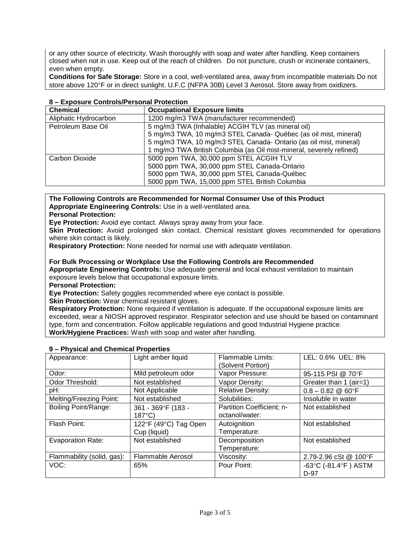or any other source of electricity. Wash thoroughly with soap and water after handling. Keep containers closed when not in use. Keep out of the reach of children. Do not puncture, crush or incinerate containers, even when empty.

**Conditions for Safe Storage:** Store in a cool, well-ventilated area, away from incompatible materials Do not store above 120°F or in direct sunlight. U.F.C (NFPA 30B) Level 3 Aerosol. Store away from oxidizers.

| <b>Chemical</b>       | <b>Occupational Exposure limits</b>                                  |  |  |
|-----------------------|----------------------------------------------------------------------|--|--|
| Aliphatic Hydrocarbon | 1200 mg/m3 TWA (manufacturer recommended)                            |  |  |
| Petroleum Base Oil    | 5 mg/m3 TWA (Inhalable) ACGIH TLV (as mineral oil)                   |  |  |
|                       | 5 mg/m3 TWA, 10 mg/m3 STEL Canada-Québec (as oil mist, mineral)      |  |  |
|                       | 5 mg/m3 TWA, 10 mg/m3 STEL Canada-Ontario (as oil mist, mineral)     |  |  |
|                       | 1 mg/m3 TWA British Columbia (as Oil mist-mineral, severely refined) |  |  |
| Carbon Dioxide        | 5000 ppm TWA, 30,000 ppm STEL ACGIH TLV                              |  |  |
|                       | 5000 ppm TWA, 30,000 ppm STEL Canada-Ontario                         |  |  |
|                       | 5000 ppm TWA, 30,000 ppm STEL Canada-Québec                          |  |  |
|                       | 5000 ppm TWA, 15,000 ppm STEL British Columbia                       |  |  |

#### **8 – Exposure Controls/Personal Protection**

**The Following Controls are Recommended for Normal Consumer Use of this Product Appropriate Engineering Controls:** Use in a well-ventilated area.

#### **Personal Protection:**

**Eye Protection:** Avoid eye contact. Always spray away from your face.

**Skin Protection:** Avoid prolonged skin contact. Chemical resistant gloves recommended for operations where skin contact is likely.

**Respiratory Protection:** None needed for normal use with adequate ventilation.

**For Bulk Processing or Workplace Use the Following Controls are Recommended**

**Appropriate Engineering Controls:** Use adequate general and local exhaust ventilation to maintain exposure levels below that occupational exposure limits.

**Personal Protection:**

**Eye Protection:** Safety goggles recommended where eye contact is possible.

**Skin Protection:** Wear chemical resistant gloves.

**Respiratory Protection:** None required if ventilation is adequate. If the occupational exposure limits are exceeded, wear a NIOSH approved respirator. Respirator selection and use should be based on contaminant type, form and concentration. Follow applicable regulations and good Industrial Hygiene practice. **Work/Hygiene Practices:** Wash with soap and water after handling.

| Appearance:                | Light amber liquid       | <b>Flammable Limits:</b>  | LEL: 0.6% UEL: 8%                          |
|----------------------------|--------------------------|---------------------------|--------------------------------------------|
|                            |                          | (Solvent Portion)         |                                            |
| Odor:                      | Mild petroleum odor      | Vapor Pressure:           | 95-115 PSI @ 70°F                          |
| Odor Threshold:            | Not established          | Vapor Density:            | Greater than 1 (air=1)                     |
| pH:                        | Not Applicable           | <b>Relative Density:</b>  | $0.8 - 0.82$ @ 60°F                        |
| Melting/Freezing Point:    | Not established          | Solubilities:             | Insoluble in water                         |
| Boiling Point/Range:       | 361 - 369°F (183 -       | Partition Coefficient; n- | Not established                            |
|                            | $187^{\circ}$ C)         | octanol/water:            |                                            |
| Flash Point:               | 122°F (49°C) Tag Open    | Autoignition              | Not established                            |
|                            | Cup (liquid)             | Temperature:              |                                            |
| <b>Evaporation Rate:</b>   | Not established          | Decomposition             | Not established                            |
|                            |                          | Temperature:              |                                            |
| Flammability (solid, gas): | <b>Flammable Aerosol</b> | Viscosity:                | 2.79-2.96 cSt @ 100°F                      |
| VOC:                       | 65%                      | Pour Point:               | -63 $^{\circ}$ C (-81.4 $^{\circ}$ F) ASTM |
|                            |                          |                           | $D-97$                                     |

#### **9 – Physical and Chemical Properties**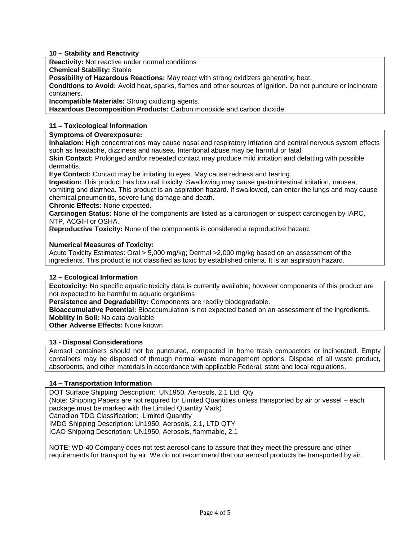#### **10 – Stability and Reactivity**

**Reactivity:** Not reactive under normal conditions

**Chemical Stability:** Stable

**Possibility of Hazardous Reactions:** May react with strong oxidizers generating heat.

**Conditions to Avoid:** Avoid heat, sparks, flames and other sources of ignition. Do not puncture or incinerate containers.

**Incompatible Materials:** Strong oxidizing agents.

**Hazardous Decomposition Products:** Carbon monoxide and carbon dioxide.

### **11 – Toxicological Information**

#### **Symptoms of Overexposure:**

**Inhalation:** High concentrations may cause nasal and respiratory irritation and central nervous system effects such as headache, dizziness and nausea. Intentional abuse may be harmful or fatal.

**Skin Contact:** Prolonged and/or repeated contact may produce mild irritation and defatting with possible dermatitis.

**Eye Contact:** Contact may be irritating to eyes. May cause redness and tearing.

**Ingestion:** This product has low oral toxicity. Swallowing may cause gastrointestinal irritation, nausea, vomiting and diarrhea. This product is an aspiration hazard. If swallowed, can enter the lungs and may cause chemical pneumonitis, severe lung damage and death.

**Chronic Effects:** None expected.

**Carcinogen Status:** None of the components are listed as a carcinogen or suspect carcinogen by IARC, NTP, ACGIH or OSHA.

**Reproductive Toxicity:** None of the components is considered a reproductive hazard.

#### **Numerical Measures of Toxicity:**

Acute Toxicity Estimates: Oral > 5,000 mg/kg; Dermal >2,000 mg/kg based on an assessment of the ingredients. This product is not classified as toxic by established criteria. It is an aspiration hazard.

#### **12 – Ecological Information**

**Ecotoxicity:** No specific aquatic toxicity data is currently available; however components of this product are not expected to be harmful to aquatic organisms

**Persistence and Degradability:** Components are readily biodegradable.

**Bioaccumulative Potential:** Bioaccumulation is not expected based on an assessment of the ingredients.

**Mobility in Soil:** No data available

**Other Adverse Effects:** None known

#### **13 - Disposal Considerations**

Aerosol containers should not be punctured, compacted in home trash compactors or incinerated. Empty containers may be disposed of through normal waste management options. Dispose of all waste product, absorbents, and other materials in accordance with applicable Federal, state and local regulations.

#### **14 – Transportation Information**

DOT Surface Shipping Description: UN1950, Aerosols, 2.1 Ltd. Qty (Note: Shipping Papers are not required for Limited Quantities unless transported by air or vessel – each package must be marked with the Limited Quantity Mark) Canadian TDG Classification: Limited Quantity IMDG Shipping Description: Un1950, Aerosols, 2.1, LTD QTY ICAO Shipping Description: UN1950, Aerosols, flammable, 2.1

NOTE: WD-40 Company does not test aerosol cans to assure that they meet the pressure and other requirements for transport by air. We do not recommend that our aerosol products be transported by air.